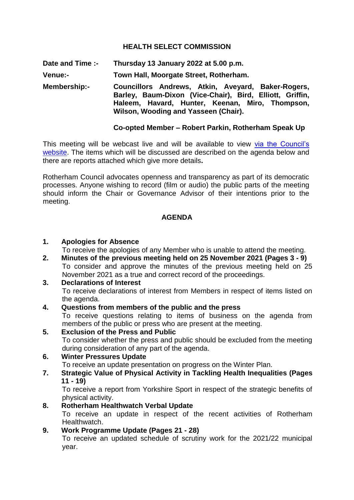## **HEALTH SELECT COMMISSION**

**Date and Time :- Thursday 13 January 2022 at 5.00 p.m.**

**Venue:- Town Hall, Moorgate Street, Rotherham.**

**Membership:- Councillors Andrews, Atkin, Aveyard, Baker-Rogers, Barley, Baum-Dixon (Vice-Chair), Bird, Elliott, Griffin, Haleem, Havard, Hunter, Keenan, Miro, Thompson, Wilson, Wooding and Yasseen (Chair).**

## **Co-opted Member – Robert Parkin, Rotherham Speak Up**

This meeting will be webcast live and will be available to view via the Council's [website.](https://rotherham.public-i.tv/core/portal/home) The items which will be discussed are described on the agenda below and there are reports attached which give more details**.**

Rotherham Council advocates openness and transparency as part of its democratic processes. Anyone wishing to record (film or audio) the public parts of the meeting should inform the Chair or Governance Advisor of their intentions prior to the meeting.

#### **AGENDA**

#### **1. Apologies for Absence**

To receive the apologies of any Member who is unable to attend the meeting.

**2. Minutes of the previous meeting held on 25 November 2021 (Pages 3 - 9)** To consider and approve the minutes of the previous meeting held on 25 November 2021 as a true and correct record of the proceedings.

### **3. Declarations of Interest**

To receive declarations of interest from Members in respect of items listed on the agenda.

#### **4. Questions from members of the public and the press**

To receive questions relating to items of business on the agenda from members of the public or press who are present at the meeting.

#### **5. Exclusion of the Press and Public**

To consider whether the press and public should be excluded from the meeting during consideration of any part of the agenda.

## **6. Winter Pressures Update**

To receive an update presentation on progress on the Winter Plan.

#### **7. Strategic Value of Physical Activity in Tackling Health Inequalities (Pages 11 - 19)**

To receive a report from Yorkshire Sport in respect of the strategic benefits of physical activity.

#### **8. Rotherham Healthwatch Verbal Update**

To receive an update in respect of the recent activities of Rotherham Healthwatch.

# **9. Work Programme Update (Pages 21 - 28)**

To receive an updated schedule of scrutiny work for the 2021/22 municipal year.